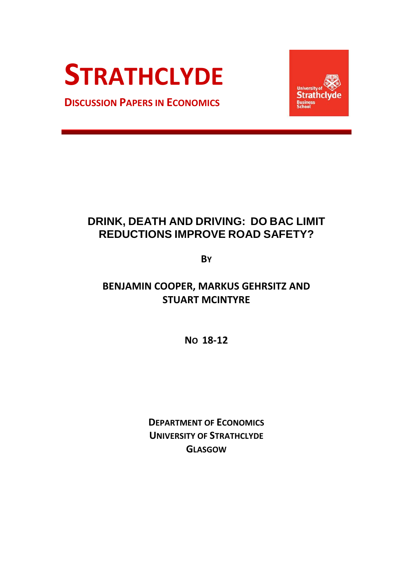# **STRATHCLYDE**

**DISCUSSION PAPERS IN ECONOMICS**



## **DRINK, DEATH AND DRIVING: DO BAC LIMIT REDUCTIONS IMPROVE ROAD SAFETY?**

**BY**

### **BENJAMIN COOPER, MARKUS GEHRSITZ AND STUART MCINTYRE**

**NO 18-12**

**DEPARTMENT OF ECONOMICS UNIVERSITY OF STRATHCLYDE GLASGOW**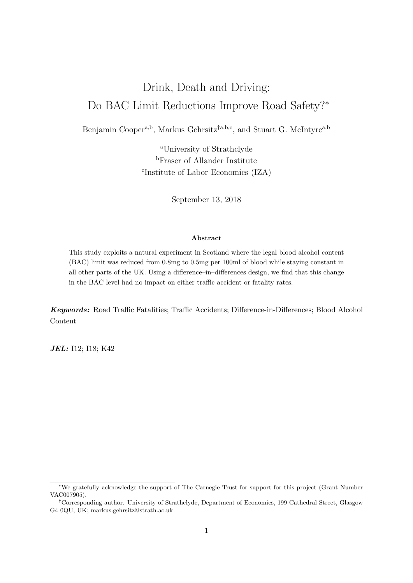## Drink, Death and Driving: Do BAC Limit Reductions Improve Road Safety?<sup>∗</sup>

Benjamin Cooper<sup>a,b</sup>, Markus Gehrsitz<sup>†a,b,c</sup>, and Stuart G. McIntyre<sup>a,b</sup>

<sup>a</sup>University of Strathclyde <sup>b</sup>Fraser of Allander Institute c Institute of Labor Economics (IZA)

September 13, 2018

#### Abstract

This study exploits a natural experiment in Scotland where the legal blood alcohol content (BAC) limit was reduced from 0.8mg to 0.5mg per 100ml of blood while staying constant in all other parts of the UK. Using a difference–in–differences design, we find that this change in the BAC level had no impact on either traffic accident or fatality rates.

Keywords: Road Traffic Fatalities; Traffic Accidents; Difference-in-Differences; Blood Alcohol Content

**JEL:** I12; I18; K42

<sup>∗</sup>We gratefully acknowledge the support of The Carnegie Trust for support for this project (Grant Number VAC007905).

<sup>†</sup>Corresponding author. University of Strathclyde, Department of Economics, 199 Cathedral Street, Glasgow G4 0QU, UK; markus.gehrsitz@strath.ac.uk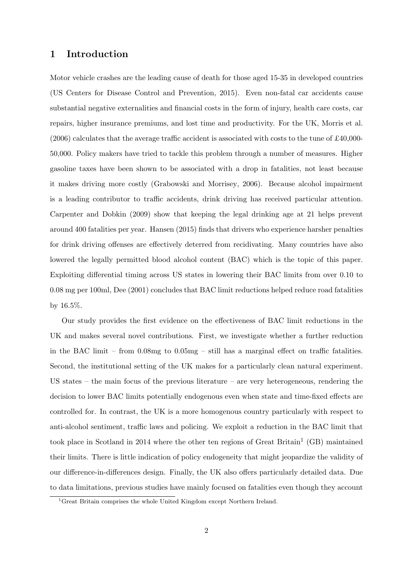#### 1 Introduction

Motor vehicle crashes are the leading cause of death for those aged 15-35 in developed countries (US Centers for Disease Control and Prevention, 2015). Even non-fatal car accidents cause substantial negative externalities and financial costs in the form of injury, health care costs, car repairs, higher insurance premiums, and lost time and productivity. For the UK, Morris et al. (2006) calculates that the average traffic accident is associated with costs to the tune of £40,000- 50,000. Policy makers have tried to tackle this problem through a number of measures. Higher gasoline taxes have been shown to be associated with a drop in fatalities, not least because it makes driving more costly (Grabowski and Morrisey, 2006). Because alcohol impairment is a leading contributor to traffic accidents, drink driving has received particular attention. Carpenter and Dobkin (2009) show that keeping the legal drinking age at 21 helps prevent around 400 fatalities per year. Hansen (2015) finds that drivers who experience harsher penalties for drink driving offenses are effectively deterred from recidivating. Many countries have also lowered the legally permitted blood alcohol content (BAC) which is the topic of this paper. Exploiting differential timing across US states in lowering their BAC limits from over 0.10 to 0.08 mg per 100ml, Dee (2001) concludes that BAC limit reductions helped reduce road fatalities by 16.5%.

Our study provides the first evidence on the effectiveness of BAC limit reductions in the UK and makes several novel contributions. First, we investigate whether a further reduction in the BAC limit – from  $0.08mg$  to  $0.05mg$  – still has a marginal effect on traffic fatalities. Second, the institutional setting of the UK makes for a particularly clean natural experiment. US states – the main focus of the previous literature – are very heterogeneous, rendering the decision to lower BAC limits potentially endogenous even when state and time-fixed effects are controlled for. In contrast, the UK is a more homogenous country particularly with respect to anti-alcohol sentiment, traffic laws and policing. We exploit a reduction in the BAC limit that took place in Scotland in 2014 where the other ten regions of Great Britain<sup>1</sup> (GB) maintained their limits. There is little indication of policy endogeneity that might jeopardize the validity of our difference-in-differences design. Finally, the UK also offers particularly detailed data. Due to data limitations, previous studies have mainly focused on fatalities even though they account

<sup>&</sup>lt;sup>1</sup>Great Britain comprises the whole United Kingdom except Northern Ireland.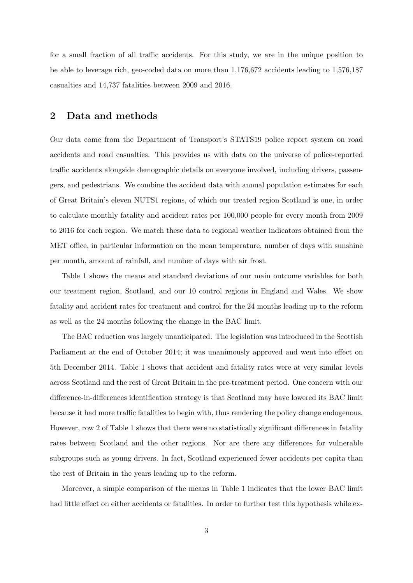for a small fraction of all traffic accidents. For this study, we are in the unique position to be able to leverage rich, geo-coded data on more than 1,176,672 accidents leading to 1,576,187 casualties and 14,737 fatalities between 2009 and 2016.

#### 2 Data and methods

Our data come from the Department of Transport's STATS19 police report system on road accidents and road casualties. This provides us with data on the universe of police-reported traffic accidents alongside demographic details on everyone involved, including drivers, passengers, and pedestrians. We combine the accident data with annual population estimates for each of Great Britain's eleven NUTS1 regions, of which our treated region Scotland is one, in order to calculate monthly fatality and accident rates per 100,000 people for every month from 2009 to 2016 for each region. We match these data to regional weather indicators obtained from the MET office, in particular information on the mean temperature, number of days with sunshine per month, amount of rainfall, and number of days with air frost.

Table 1 shows the means and standard deviations of our main outcome variables for both our treatment region, Scotland, and our 10 control regions in England and Wales. We show fatality and accident rates for treatment and control for the 24 months leading up to the reform as well as the 24 months following the change in the BAC limit.

The BAC reduction was largely unanticipated. The legislation was introduced in the Scottish Parliament at the end of October 2014; it was unanimously approved and went into effect on 5th December 2014. Table 1 shows that accident and fatality rates were at very similar levels across Scotland and the rest of Great Britain in the pre-treatment period. One concern with our difference-in-differences identification strategy is that Scotland may have lowered its BAC limit because it had more traffic fatalities to begin with, thus rendering the policy change endogenous. However, row 2 of Table 1 shows that there were no statistically significant differences in fatality rates between Scotland and the other regions. Nor are there any differences for vulnerable subgroups such as young drivers. In fact, Scotland experienced fewer accidents per capita than the rest of Britain in the years leading up to the reform.

Moreover, a simple comparison of the means in Table 1 indicates that the lower BAC limit had little effect on either accidents or fatalities. In order to further test this hypothesis while ex-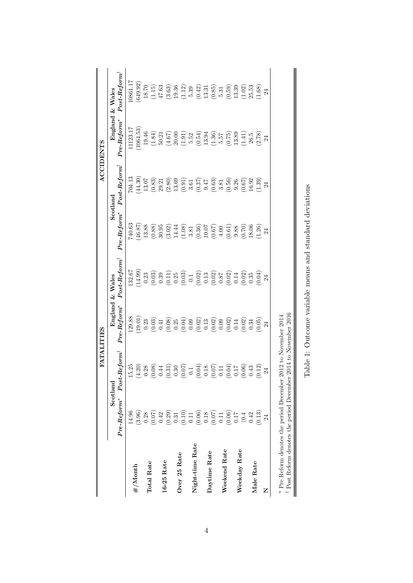|                                                                            |                |                                                                   | <b>FATALITIES</b>           |                         |                                                                                                                                                                                                                                                                                                    |                                                                                                                                                                                                                                                                                                                                 | <b>ACCIDENTS</b>                                                                            |                                                                                                                                                                                                                                                                                               |
|----------------------------------------------------------------------------|----------------|-------------------------------------------------------------------|-----------------------------|-------------------------|----------------------------------------------------------------------------------------------------------------------------------------------------------------------------------------------------------------------------------------------------------------------------------------------------|---------------------------------------------------------------------------------------------------------------------------------------------------------------------------------------------------------------------------------------------------------------------------------------------------------------------------------|---------------------------------------------------------------------------------------------|-----------------------------------------------------------------------------------------------------------------------------------------------------------------------------------------------------------------------------------------------------------------------------------------------|
|                                                                            |                | Scotland                                                          |                             | England & Wales         |                                                                                                                                                                                                                                                                                                    | Scotland                                                                                                                                                                                                                                                                                                                        |                                                                                             | England & Wales                                                                                                                                                                                                                                                                               |
|                                                                            | $Pre-Reform^*$ | $Post-Reform^{\dagger}$                                           | $Pre\text{-}Reform^{\star}$ | $Post-Reform^{\dagger}$ | $Pre-Reform^{\star}$                                                                                                                                                                                                                                                                               | $Post\text{-}Reform^{\dagger}$                                                                                                                                                                                                                                                                                                  | $Pre\text{-}Reform^{\star}$                                                                 | $Post-Reform^{\dagger}$                                                                                                                                                                                                                                                                       |
|                                                                            | 14.96          | 15.25                                                             | 129.88                      | 132.67                  | 740.63                                                                                                                                                                                                                                                                                             | 704.13                                                                                                                                                                                                                                                                                                                          | 1123.17                                                                                     | 1.1861                                                                                                                                                                                                                                                                                        |
| #/Month                                                                    |                | (4.20)                                                            |                             | 14.99)                  | 46.87)                                                                                                                                                                                                                                                                                             | $\begin{array}{c} (44.30) \\ 13.07 \end{array}$                                                                                                                                                                                                                                                                                 | 1064.53                                                                                     | (649.92)                                                                                                                                                                                                                                                                                      |
|                                                                            |                | 0.28                                                              |                             |                         | 13.88                                                                                                                                                                                                                                                                                              |                                                                                                                                                                                                                                                                                                                                 | $19.46\,$                                                                                   |                                                                                                                                                                                                                                                                                               |
| <b>Total Rate</b>                                                          |                | (0.08)                                                            |                             | $\frac{0.23}{(0.03)}$   | (0.88)                                                                                                                                                                                                                                                                                             | (0.83)                                                                                                                                                                                                                                                                                                                          | (1.84)                                                                                      | $\begin{array}{c} 18.70 \\ (1.15) \end{array}$                                                                                                                                                                                                                                                |
|                                                                            |                | $0.44\,$                                                          |                             |                         |                                                                                                                                                                                                                                                                                                    |                                                                                                                                                                                                                                                                                                                                 |                                                                                             |                                                                                                                                                                                                                                                                                               |
| $16-25$ Rate                                                               |                |                                                                   |                             |                         |                                                                                                                                                                                                                                                                                                    |                                                                                                                                                                                                                                                                                                                                 |                                                                                             |                                                                                                                                                                                                                                                                                               |
|                                                                            |                |                                                                   |                             |                         |                                                                                                                                                                                                                                                                                                    |                                                                                                                                                                                                                                                                                                                                 |                                                                                             |                                                                                                                                                                                                                                                                                               |
| Over 25 Rate                                                               |                | $\left( \begin{matrix} 0.31 \\ 0.30 \\ 0.07 \end{matrix} \right)$ |                             |                         |                                                                                                                                                                                                                                                                                                    |                                                                                                                                                                                                                                                                                                                                 | $\begin{array}{c} 50.21 \\ (4.67) \\ 20.00 \\ (1.91) \\ 5.52 \\ (0.54) \end{array}$         |                                                                                                                                                                                                                                                                                               |
|                                                                            |                |                                                                   |                             |                         |                                                                                                                                                                                                                                                                                                    |                                                                                                                                                                                                                                                                                                                                 |                                                                                             |                                                                                                                                                                                                                                                                                               |
| Night-time Rate                                                            |                | (0.04)                                                            |                             |                         |                                                                                                                                                                                                                                                                                                    |                                                                                                                                                                                                                                                                                                                                 |                                                                                             |                                                                                                                                                                                                                                                                                               |
|                                                                            |                |                                                                   |                             |                         |                                                                                                                                                                                                                                                                                                    |                                                                                                                                                                                                                                                                                                                                 |                                                                                             |                                                                                                                                                                                                                                                                                               |
| Daytime Rate                                                               |                | $\begin{array}{c} 0.18 \\ 0.07 \end{array}$                       |                             |                         | $\begin{array}{l} 30.95\\ 30.02)\\ (3.02)\\ (1.08)\\ (1.08)\\ (0.36)\\ (0.50)\\ (0.67)\\ (0.61)\\ (0.61)\\ (0.61)\\ (0.61)\\ (0.62)\\ (0.63)\\ (0.64)\\ (0.65)\\ (0.67)\\ (0.69)\\ (0.61)\\ (0.61)\\ (0.62)\\ (0.63)\\ (0.64)\\ (0.65)\\ (0.67)\\ (0.67)\\ (0.68)\\ (0.69)\\ (0.61)\\ (0.61)\\ (0$ | $\begin{array}{l} 29.21 \\ 23.60 \\ (2.80) \\ 13.69 \\ (1.31) \\ (0.91) \\ (0.91) \\ (0.91) \\ (0.91) \\ (0.91) \\ (0.91) \\ (0.91) \\ (0.91) \\ (0.91) \\ (0.91) \\ (0.91) \\ (0.91) \\ (0.91) \\ (0.91) \\ (0.91) \\ (0.91) \\ (0.91) \\ (0.91) \\ (0.91) \\ (0.91) \\ (0.91) \\ (0.91) \\ (0.91) \\ (0.91) \\ (0.91) \\ (0.$ | $\begin{array}{c} 13.94 \\ (1.36) \\ 5.57 \\ (0.75) \\ 13.89 \\ (1.41) \\ 26.5 \end{array}$ | $\begin{array}{l} 47.63\\ (3.63)\\ (3.64)\\ (19.36)\\ (1.12)\\ (5.39)\\ (6.42)\\ (7.31)\\ (8.5)\\ (9.59)\\ (13.39)\\ (13.39)\\ (13.39)\\ (13.39)\\ (13.30)\\ (13.30)\\ (13.30)\\ (13.30)\\ (13.30)\\ (13.30)\\ (13.30)\\ (13.30)\\ (13.30)\\ (13.30)\\ (13.30)\\ (13.30)\\ (13.30)\\ (13.30)$ |
|                                                                            |                |                                                                   |                             |                         |                                                                                                                                                                                                                                                                                                    |                                                                                                                                                                                                                                                                                                                                 |                                                                                             |                                                                                                                                                                                                                                                                                               |
| Weekend Rate                                                               |                | (0.04)                                                            |                             |                         |                                                                                                                                                                                                                                                                                                    |                                                                                                                                                                                                                                                                                                                                 |                                                                                             |                                                                                                                                                                                                                                                                                               |
|                                                                            |                | $0.17\,$                                                          |                             |                         |                                                                                                                                                                                                                                                                                                    |                                                                                                                                                                                                                                                                                                                                 |                                                                                             |                                                                                                                                                                                                                                                                                               |
| Weekday Rate                                                               |                | (0.06)                                                            |                             | $(0.02)$<br>0.35        | $(0.70)$<br>18.06                                                                                                                                                                                                                                                                                  | $\begin{array}{c} (0.67) \\ 16.92 \end{array}$                                                                                                                                                                                                                                                                                  |                                                                                             | $(1.02)$<br>$25.53$                                                                                                                                                                                                                                                                           |
|                                                                            |                | 0.43                                                              |                             |                         |                                                                                                                                                                                                                                                                                                    |                                                                                                                                                                                                                                                                                                                                 |                                                                                             |                                                                                                                                                                                                                                                                                               |
| Male Rate                                                                  | (0.13)         | (0.12)                                                            | (0.05)                      | (0.04)                  | (1.26)                                                                                                                                                                                                                                                                                             | (1.39)                                                                                                                                                                                                                                                                                                                          | (2.78)                                                                                      | $(1.68)$<br>$24$                                                                                                                                                                                                                                                                              |
| Z                                                                          | 24             | $\overline{24}$                                                   | $^{24}$                     |                         |                                                                                                                                                                                                                                                                                                    | $\mathfrak{A}$                                                                                                                                                                                                                                                                                                                  | $^{24}$                                                                                     |                                                                                                                                                                                                                                                                                               |
|                                                                            |                |                                                                   |                             |                         |                                                                                                                                                                                                                                                                                                    |                                                                                                                                                                                                                                                                                                                                 |                                                                                             |                                                                                                                                                                                                                                                                                               |
| * Pre Reform denotes the period December                                   |                |                                                                   | $2012$ to November $2014$   |                         |                                                                                                                                                                                                                                                                                                    |                                                                                                                                                                                                                                                                                                                                 |                                                                                             |                                                                                                                                                                                                                                                                                               |
| <sup>t</sup> Post Reform denotes the period December 2014 to November 2016 |                |                                                                   |                             |                         |                                                                                                                                                                                                                                                                                                    |                                                                                                                                                                                                                                                                                                                                 |                                                                                             |                                                                                                                                                                                                                                                                                               |
|                                                                            |                |                                                                   |                             |                         |                                                                                                                                                                                                                                                                                                    |                                                                                                                                                                                                                                                                                                                                 |                                                                                             |                                                                                                                                                                                                                                                                                               |

| l                                               |
|-------------------------------------------------|
| tenne trentable mone and atandard drugtior<br>i |
|                                                 |
| $\overline{\phantom{a}}$                        |
| l                                               |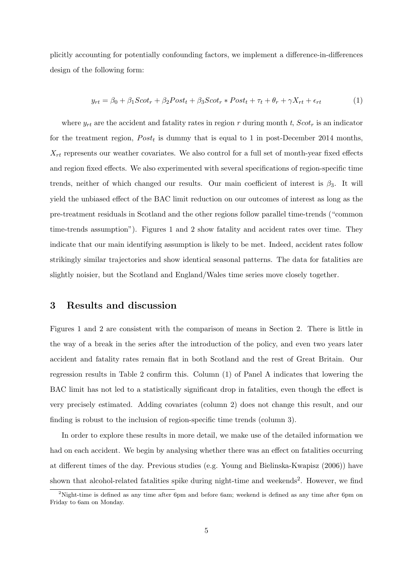plicitly accounting for potentially confounding factors, we implement a difference-in-differences design of the following form:

$$
y_{rt} = \beta_0 + \beta_1 Scott_r + \beta_2 Post_t + \beta_3 Scott_r * Post_t + \tau_t + \theta_r + \gamma X_{rt} + \epsilon_{rt}
$$
 (1)

where  $y_{rt}$  are the accident and fatality rates in region r during month t,  $Scot<sub>r</sub>$  is an indicator for the treatment region,  $Post<sub>t</sub>$  is dummy that is equal to 1 in post-December 2014 months,  $X_{rt}$  represents our weather covariates. We also control for a full set of month-year fixed effects and region fixed effects. We also experimented with several specifications of region-specific time trends, neither of which changed our results. Our main coefficient of interest is  $\beta_3$ . It will yield the unbiased effect of the BAC limit reduction on our outcomes of interest as long as the pre-treatment residuals in Scotland and the other regions follow parallel time-trends ("common time-trends assumption"). Figures 1 and 2 show fatality and accident rates over time. They indicate that our main identifying assumption is likely to be met. Indeed, accident rates follow strikingly similar trajectories and show identical seasonal patterns. The data for fatalities are slightly noisier, but the Scotland and England/Wales time series move closely together.

#### 3 Results and discussion

Figures 1 and 2 are consistent with the comparison of means in Section 2. There is little in the way of a break in the series after the introduction of the policy, and even two years later accident and fatality rates remain flat in both Scotland and the rest of Great Britain. Our regression results in Table 2 confirm this. Column (1) of Panel A indicates that lowering the BAC limit has not led to a statistically significant drop in fatalities, even though the effect is very precisely estimated. Adding covariates (column 2) does not change this result, and our finding is robust to the inclusion of region-specific time trends (column 3).

In order to explore these results in more detail, we make use of the detailed information we had on each accident. We begin by analysing whether there was an effect on fatalities occurring at different times of the day. Previous studies (e.g. Young and Bielinska-Kwapisz (2006)) have shown that alcohol-related fatalities spike during night-time and weekends<sup>2</sup>. However, we find

<sup>&</sup>lt;sup>2</sup>Night-time is defined as any time after 6pm and before 6am; weekend is defined as any time after 6pm on Friday to 6am on Monday.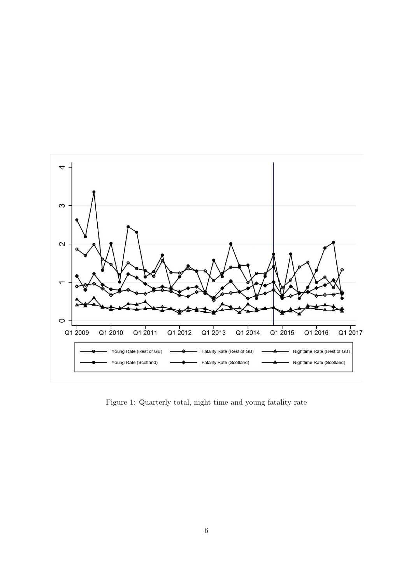

Figure 1: Quarterly total, night time and young fatality rate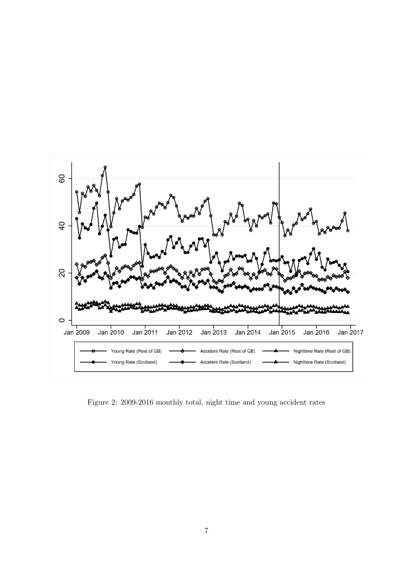

Figure 2: 2009-2016 monthly total, night time and young accident rates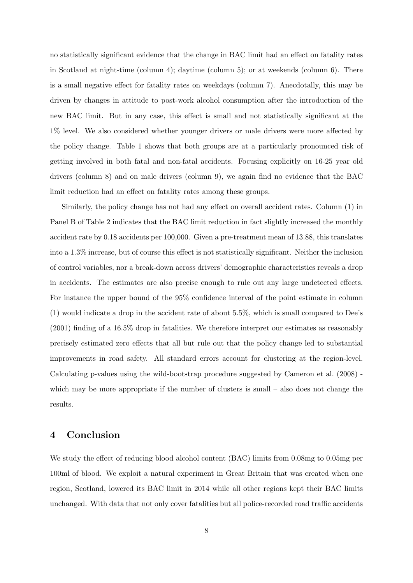no statistically significant evidence that the change in BAC limit had an effect on fatality rates in Scotland at night-time (column 4); daytime (column 5); or at weekends (column 6). There is a small negative effect for fatality rates on weekdays (column 7). Anecdotally, this may be driven by changes in attitude to post-work alcohol consumption after the introduction of the new BAC limit. But in any case, this effect is small and not statistically significant at the 1% level. We also considered whether younger drivers or male drivers were more affected by the policy change. Table 1 shows that both groups are at a particularly pronounced risk of getting involved in both fatal and non-fatal accidents. Focusing explicitly on 16-25 year old drivers (column 8) and on male drivers (column 9), we again find no evidence that the BAC limit reduction had an effect on fatality rates among these groups.

Similarly, the policy change has not had any effect on overall accident rates. Column (1) in Panel B of Table 2 indicates that the BAC limit reduction in fact slightly increased the monthly accident rate by 0.18 accidents per 100,000. Given a pre-treatment mean of 13.88, this translates into a 1.3% increase, but of course this effect is not statistically significant. Neither the inclusion of control variables, nor a break-down across drivers' demographic characteristics reveals a drop in accidents. The estimates are also precise enough to rule out any large undetected effects. For instance the upper bound of the 95% confidence interval of the point estimate in column (1) would indicate a drop in the accident rate of about 5.5%, which is small compared to Dee's (2001) finding of a 16.5% drop in fatalities. We therefore interpret our estimates as reasonably precisely estimated zero effects that all but rule out that the policy change led to substantial improvements in road safety. All standard errors account for clustering at the region-level. Calculating p-values using the wild-bootstrap procedure suggested by Cameron et al. (2008) which may be more appropriate if the number of clusters is small – also does not change the results.

#### 4 Conclusion

We study the effect of reducing blood alcohol content (BAC) limits from 0.08mg to 0.05mg per 100ml of blood. We exploit a natural experiment in Great Britain that was created when one region, Scotland, lowered its BAC limit in 2014 while all other regions kept their BAC limits unchanged. With data that not only cover fatalities but all police-recorded road traffic accidents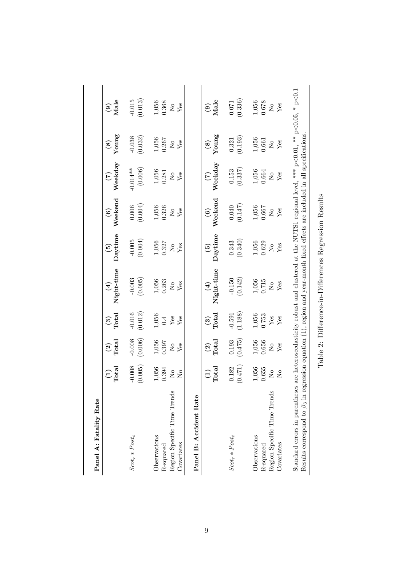| Panel A: Fatality Rate                                                                                                                                                                                                                                                                      |                                                         |                                                                              |                                                                         |                                                       |                                                                              |                                                                        |                                             |                                                                              |                                                                              |
|---------------------------------------------------------------------------------------------------------------------------------------------------------------------------------------------------------------------------------------------------------------------------------------------|---------------------------------------------------------|------------------------------------------------------------------------------|-------------------------------------------------------------------------|-------------------------------------------------------|------------------------------------------------------------------------------|------------------------------------------------------------------------|---------------------------------------------|------------------------------------------------------------------------------|------------------------------------------------------------------------------|
|                                                                                                                                                                                                                                                                                             | $\frac{1}{\text{Total}}$                                | $\frac{2}{\text{Total}}$                                                     | $\frac{3}{10}$                                                          | Night-time<br>$\bigoplus$                             | Daytime<br>$\mathfrak{S}$                                                    | Weekend<br>$\odot$                                                     | Weekday<br>$\widetilde{C}$                  | $\frac{(8)}{Y \text{oung}}$                                                  | $\frac{1}{2}$<br>Male                                                        |
| $Scot_r * Post_t$                                                                                                                                                                                                                                                                           | (0.005)<br>$-0.008$                                     | (0.006)                                                                      | (0.012)<br>$-0.016$                                                     | $-0.003$<br>$(0.005)$                                 | $-0.005$<br>$(0.004)$                                                        | (0.006)                                                                | (0.006)<br>$0.014***$                       | $-0.038$<br>$(0.032)$                                                        | $-0.015$<br>$(0.013)$                                                        |
| S<br>Region Specific Time Trend<br>Observations<br>Covariates<br>R-squared                                                                                                                                                                                                                  | 1,056<br>0.394<br>$\rm _{N}^{\circ}$<br>$\Sigma$        | $\begin{array}{c} 1,056 \\ 0.397 \\ \mathrm{No} \\ \mathrm{Yes} \end{array}$ | $\begin{array}{c} 1,056 \\ 0.4 \\ \text{Yes} \\ \text{Yes} \end{array}$ | 1,056<br>0.263<br>$E_{\text{gs}}$                     | $\begin{array}{c} 1,056 \\ 0.327 \\ \mathrm{No} \\ \mathrm{Yes} \end{array}$ | $\begin{array}{c} 1,056 \\ 0.326 \\ {\rm Ne} \\ {\rm Yes} \end{array}$ | $\frac{1,056}{0.281}$<br>$X_{\text{BS}}$    | $\begin{array}{c} 1,056 \\ 0.267 \\ \mathrm{No} \\ \mathrm{Yes} \end{array}$ | $\begin{array}{c} 1,056 \\ 0.368 \\ \mathrm{No} \\ \mathrm{Yes} \end{array}$ |
| Panel B: Accident Rate                                                                                                                                                                                                                                                                      |                                                         |                                                                              |                                                                         |                                                       |                                                                              |                                                                        |                                             |                                                                              |                                                                              |
|                                                                                                                                                                                                                                                                                             | $\frac{\text{(1)}}{\text{Total}}$                       | $\frac{2}{\text{Total}}$                                                     | $\frac{(3)}{\text{Total}}$                                              | $\mathrm{Night-time}$<br>$\left( \frac{1}{2} \right)$ | Daytime<br>$\widehat{\mathbf{e}}$                                            | Weekend<br>$\odot$                                                     | $\frac{(7)}{\text{Weekday}}$                | $\frac{(8)}{Y \text{oung}}$                                                  | $\frac{(9)}{Male}$                                                           |
| $Scot_r * Post_t$                                                                                                                                                                                                                                                                           | (0.471)<br>0.182                                        | (0.475)<br>0.193                                                             | (1.188)<br>$-0.591$                                                     | $-0.150$<br>(0.142)                                   | $(0.343)$<br>$(0.340)$                                                       | (0.147)                                                                | $(0.153$<br>$(0.337)$                       | $(0.321)$<br>$(0.193)$                                                       | (0.336)                                                                      |
| S<br>Region Specific Time Trend<br>Observations<br>Covariates<br>R-squared                                                                                                                                                                                                                  | $1,056$<br>$0.655$<br>$\tilde{S}$<br>$\rm _{N}^{\circ}$ | $1,056$<br>$0.656$<br>$\frac{1}{2}$                                          | $1,056$<br>$0.753$<br>$Y_{es}$                                          | 1,056<br>0.715<br>Yes<br>$\rm _{N}^{\circ}$           | $\begin{array}{c} 1,056 \\ 0.629 \\ \text{Ne} \\ \text{Yes} \end{array}$     | $1,056$<br>$0.667$<br>Yes<br>$\rm _{N}^{\rm o}$                        | 1,056<br>0.664<br>Yes<br>$\rm _{N}^{\circ}$ | $1,056$<br>$0.661$<br>$X_{es}$                                               | $\begin{array}{c} 1,056 \\ 0.678 \\ \mathrm{No} \\ \mathrm{Yes} \end{array}$ |
| Standard errors in parentheses are heteroscedasticity robust and clustered at the NUTS1 regional level, *** $p < 0.01$ , ** $p < 0.05$ , * $p < 0.1$<br>Results correspond to $\beta_3$ in regression equation (1), region and year-month fixed effects are included in all specifications. |                                                         |                                                                              |                                                                         |                                                       |                                                                              |                                                                        |                                             |                                                                              |                                                                              |

Table 2: Difference-in-Differences Regression Results

Table 2: Difference-in-Differences Regression Results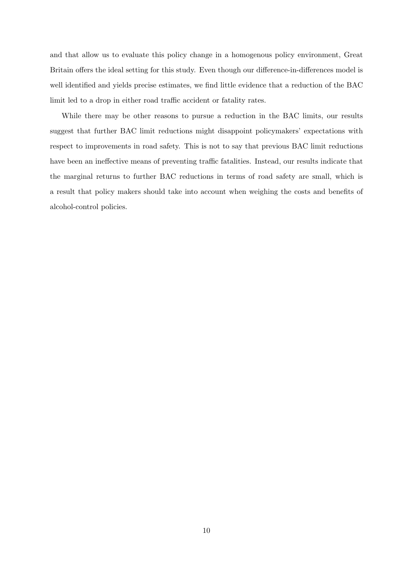and that allow us to evaluate this policy change in a homogenous policy environment, Great Britain offers the ideal setting for this study. Even though our difference-in-differences model is well identified and yields precise estimates, we find little evidence that a reduction of the BAC limit led to a drop in either road traffic accident or fatality rates.

While there may be other reasons to pursue a reduction in the BAC limits, our results suggest that further BAC limit reductions might disappoint policymakers' expectations with respect to improvements in road safety. This is not to say that previous BAC limit reductions have been an ineffective means of preventing traffic fatalities. Instead, our results indicate that the marginal returns to further BAC reductions in terms of road safety are small, which is a result that policy makers should take into account when weighing the costs and benefits of alcohol-control policies.